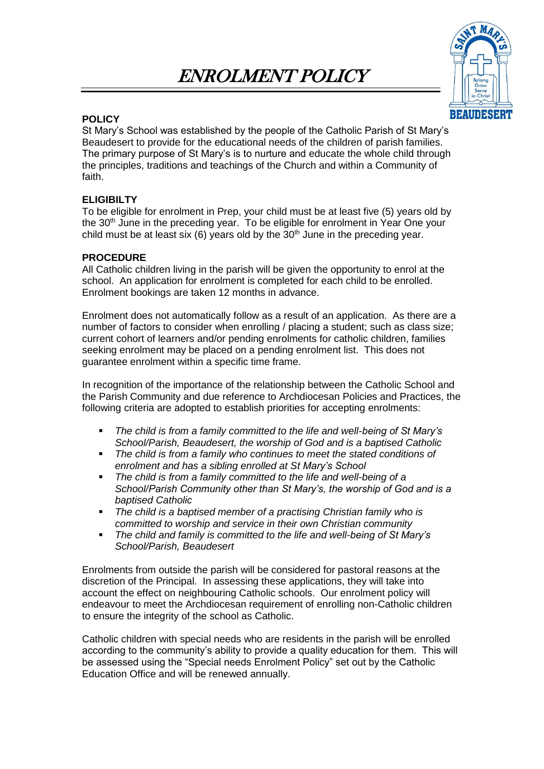# ENROLMENT POLICY



## **POLICY**

St Mary's School was established by the people of the Catholic Parish of St Mary's Beaudesert to provide for the educational needs of the children of parish families. The primary purpose of St Mary's is to nurture and educate the whole child through the principles, traditions and teachings of the Church and within a Community of faith.

## **ELIGIBILTY**

To be eligible for enrolment in Prep, your child must be at least five (5) years old by the 30<sup>th</sup> June in the preceding year. To be eligible for enrolment in Year One your child must be at least six (6) years old by the  $30<sup>th</sup>$  June in the preceding year.

## **PROCEDURE**

All Catholic children living in the parish will be given the opportunity to enrol at the school. An application for enrolment is completed for each child to be enrolled. Enrolment bookings are taken 12 months in advance.

Enrolment does not automatically follow as a result of an application. As there are a number of factors to consider when enrolling / placing a student; such as class size; current cohort of learners and/or pending enrolments for catholic children, families seeking enrolment may be placed on a pending enrolment list. This does not guarantee enrolment within a specific time frame.

In recognition of the importance of the relationship between the Catholic School and the Parish Community and due reference to Archdiocesan Policies and Practices, the following criteria are adopted to establish priorities for accepting enrolments:

- *The child is from a family committed to the life and well-being of St Mary's School/Parish, Beaudesert, the worship of God and is a baptised Catholic*
- *The child is from a family who continues to meet the stated conditions of enrolment and has a sibling enrolled at St Mary's School*
- The child is from a family committed to the life and well-being of a *School/Parish Community other than St Mary's, the worship of God and is a baptised Catholic*
- *The child is a baptised member of a practising Christian family who is committed to worship and service in their own Christian community*
- *The child and family is committed to the life and well-being of St Mary's School/Parish, Beaudesert*

Enrolments from outside the parish will be considered for pastoral reasons at the discretion of the Principal. In assessing these applications, they will take into account the effect on neighbouring Catholic schools. Our enrolment policy will endeavour to meet the Archdiocesan requirement of enrolling non-Catholic children to ensure the integrity of the school as Catholic.

Catholic children with special needs who are residents in the parish will be enrolled according to the community's ability to provide a quality education for them. This will be assessed using the "Special needs Enrolment Policy" set out by the Catholic Education Office and will be renewed annually.